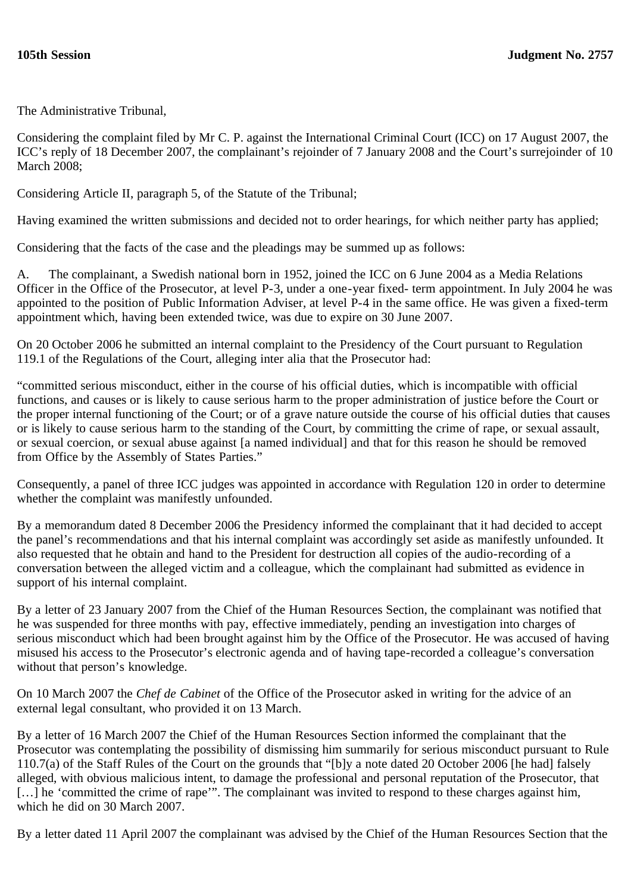The Administrative Tribunal,

Considering the complaint filed by Mr C. P. against the International Criminal Court (ICC) on 17 August 2007, the ICC's reply of 18 December 2007, the complainant's rejoinder of 7 January 2008 and the Court's surrejoinder of 10 March 2008;

Considering Article II, paragraph 5, of the Statute of the Tribunal;

Having examined the written submissions and decided not to order hearings, for which neither party has applied;

Considering that the facts of the case and the pleadings may be summed up as follows:

A. The complainant, a Swedish national born in 1952, joined the ICC on 6 June 2004 as a Media Relations Officer in the Office of the Prosecutor, at level P-3, under a one-year fixed- term appointment. In July 2004 he was appointed to the position of Public Information Adviser, at level P-4 in the same office. He was given a fixed-term appointment which, having been extended twice, was due to expire on 30 June 2007.

On 20 October 2006 he submitted an internal complaint to the Presidency of the Court pursuant to Regulation 119.1 of the Regulations of the Court, alleging inter alia that the Prosecutor had:

"committed serious misconduct, either in the course of his official duties, which is incompatible with official functions, and causes or is likely to cause serious harm to the proper administration of justice before the Court or the proper internal functioning of the Court; or of a grave nature outside the course of his official duties that causes or is likely to cause serious harm to the standing of the Court, by committing the crime of rape, or sexual assault, or sexual coercion, or sexual abuse against [a named individual] and that for this reason he should be removed from Office by the Assembly of States Parties."

Consequently, a panel of three ICC judges was appointed in accordance with Regulation 120 in order to determine whether the complaint was manifestly unfounded.

By a memorandum dated 8 December 2006 the Presidency informed the complainant that it had decided to accept the panel's recommendations and that his internal complaint was accordingly set aside as manifestly unfounded. It also requested that he obtain and hand to the President for destruction all copies of the audio-recording of a conversation between the alleged victim and a colleague, which the complainant had submitted as evidence in support of his internal complaint.

By a letter of 23 January 2007 from the Chief of the Human Resources Section, the complainant was notified that he was suspended for three months with pay, effective immediately, pending an investigation into charges of serious misconduct which had been brought against him by the Office of the Prosecutor. He was accused of having misused his access to the Prosecutor's electronic agenda and of having tape-recorded a colleague's conversation without that person's knowledge.

On 10 March 2007 the *Chef de Cabinet* of the Office of the Prosecutor asked in writing for the advice of an external legal consultant, who provided it on 13 March.

By a letter of 16 March 2007 the Chief of the Human Resources Section informed the complainant that the Prosecutor was contemplating the possibility of dismissing him summarily for serious misconduct pursuant to Rule 110.7(a) of the Staff Rules of the Court on the grounds that "[b]y a note dated 20 October 2006 [he had] falsely alleged, with obvious malicious intent, to damage the professional and personal reputation of the Prosecutor, that [...] he 'committed the crime of rape'". The complainant was invited to respond to these charges against him, which he did on 30 March 2007.

By a letter dated 11 April 2007 the complainant was advised by the Chief of the Human Resources Section that the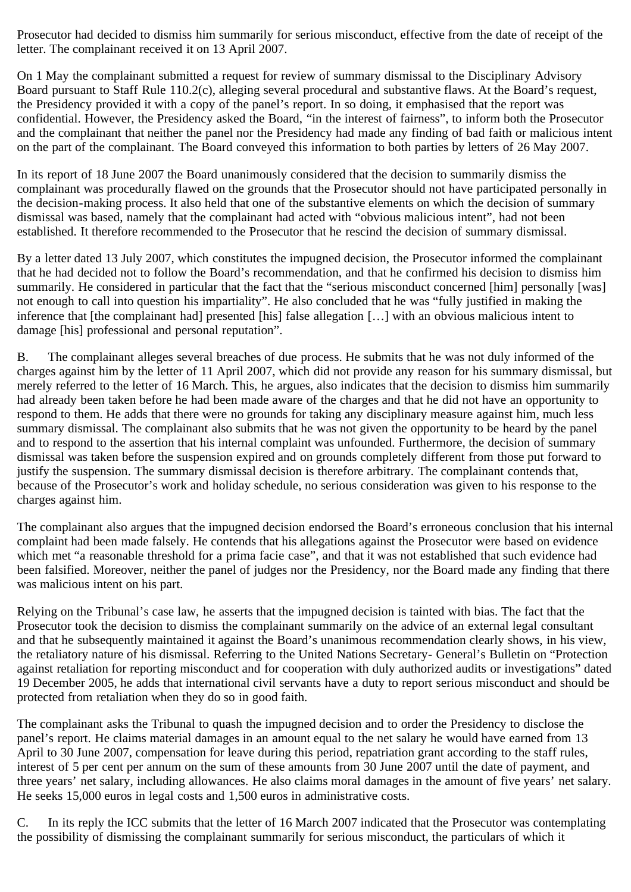Prosecutor had decided to dismiss him summarily for serious misconduct, effective from the date of receipt of the letter. The complainant received it on 13 April 2007.

On 1 May the complainant submitted a request for review of summary dismissal to the Disciplinary Advisory Board pursuant to Staff Rule 110.2(c), alleging several procedural and substantive flaws. At the Board's request, the Presidency provided it with a copy of the panel's report. In so doing, it emphasised that the report was confidential. However, the Presidency asked the Board, "in the interest of fairness", to inform both the Prosecutor and the complainant that neither the panel nor the Presidency had made any finding of bad faith or malicious intent on the part of the complainant. The Board conveyed this information to both parties by letters of 26 May 2007.

In its report of 18 June 2007 the Board unanimously considered that the decision to summarily dismiss the complainant was procedurally flawed on the grounds that the Prosecutor should not have participated personally in the decision-making process. It also held that one of the substantive elements on which the decision of summary dismissal was based, namely that the complainant had acted with "obvious malicious intent", had not been established. It therefore recommended to the Prosecutor that he rescind the decision of summary dismissal.

By a letter dated 13 July 2007, which constitutes the impugned decision, the Prosecutor informed the complainant that he had decided not to follow the Board's recommendation, and that he confirmed his decision to dismiss him summarily. He considered in particular that the fact that the "serious misconduct concerned [him] personally [was] not enough to call into question his impartiality". He also concluded that he was "fully justified in making the inference that [the complainant had] presented [his] false allegation [...] with an obvious malicious intent to damage [his] professional and personal reputation".

B. The complainant alleges several breaches of due process. He submits that he was not duly informed of the charges against him by the letter of 11 April 2007, which did not provide any reason for his summary dismissal, but merely referred to the letter of 16 March. This, he argues, also indicates that the decision to dismiss him summarily had already been taken before he had been made aware of the charges and that he did not have an opportunity to respond to them. He adds that there were no grounds for taking any disciplinary measure against him, much less summary dismissal. The complainant also submits that he was not given the opportunity to be heard by the panel and to respond to the assertion that his internal complaint was unfounded. Furthermore, the decision of summary dismissal was taken before the suspension expired and on grounds completely different from those put forward to justify the suspension. The summary dismissal decision is therefore arbitrary. The complainant contends that, because of the Prosecutor's work and holiday schedule, no serious consideration was given to his response to the charges against him.

The complainant also argues that the impugned decision endorsed the Board's erroneous conclusion that his internal complaint had been made falsely. He contends that his allegations against the Prosecutor were based on evidence which met "a reasonable threshold for a prima facie case", and that it was not established that such evidence had been falsified. Moreover, neither the panel of judges nor the Presidency, nor the Board made any finding that there was malicious intent on his part.

Relying on the Tribunal's case law, he asserts that the impugned decision is tainted with bias. The fact that the Prosecutor took the decision to dismiss the complainant summarily on the advice of an external legal consultant and that he subsequently maintained it against the Board's unanimous recommendation clearly shows, in his view, the retaliatory nature of his dismissal. Referring to the United Nations Secretary- General's Bulletin on "Protection against retaliation for reporting misconduct and for cooperation with duly authorized audits or investigations" dated 19 December 2005, he adds that international civil servants have a duty to report serious misconduct and should be protected from retaliation when they do so in good faith.

The complainant asks the Tribunal to quash the impugned decision and to order the Presidency to disclose the panel's report. He claims material damages in an amount equal to the net salary he would have earned from 13 April to 30 June 2007, compensation for leave during this period, repatriation grant according to the staff rules, interest of 5 per cent per annum on the sum of these amounts from 30 June 2007 until the date of payment, and three years' net salary, including allowances. He also claims moral damages in the amount of five years' net salary. He seeks 15,000 euros in legal costs and 1,500 euros in administrative costs.

C. In its reply the ICC submits that the letter of 16 March 2007 indicated that the Prosecutor was contemplating the possibility of dismissing the complainant summarily for serious misconduct, the particulars of which it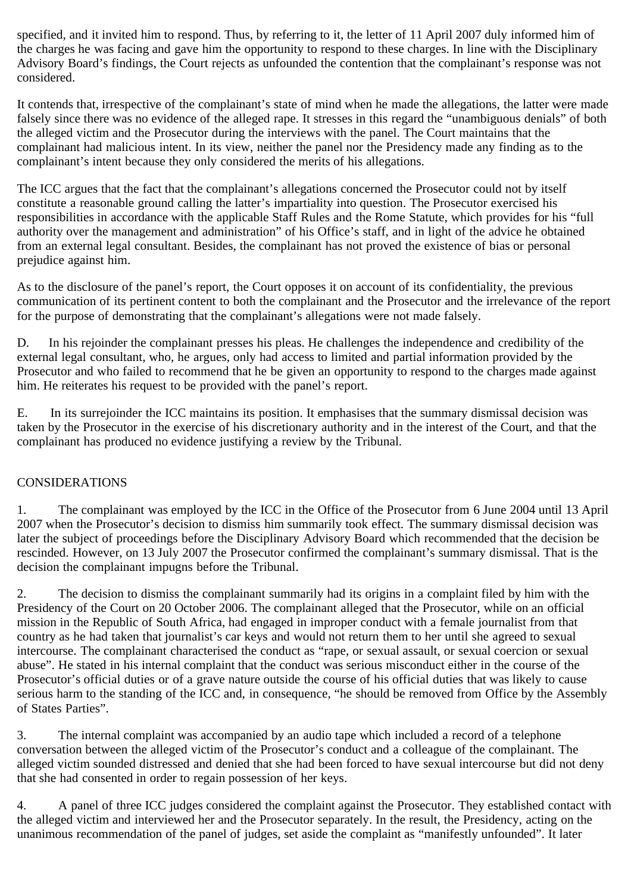specified, and it invited him to respond. Thus, by referring to it, the letter of 11 April 2007 duly informed him of the charges he was facing and gave him the opportunity to respond to these charges. In line with the Disciplinary Advisory Board's findings, the Court rejects as unfounded the contention that the complainant's response was not considered.

It contends that, irrespective of the complainant's state of mind when he made the allegations, the latter were made falsely since there was no evidence of the alleged rape. It stresses in this regard the "unambiguous denials" of both the alleged victim and the Prosecutor during the interviews with the panel. The Court maintains that the complainant had malicious intent. In its view, neither the panel nor the Presidency made any finding as to the complainant's intent because they only considered the merits of his allegations.

The ICC argues that the fact that the complainant's allegations concerned the Prosecutor could not by itself constitute a reasonable ground calling the latter's impartiality into question. The Prosecutor exercised his responsibilities in accordance with the applicable Staff Rules and the Rome Statute, which provides for his "full authority over the management and administration" of his Office's staff, and in light of the advice he obtained from an external legal consultant. Besides, the complainant has not proved the existence of bias or personal prejudice against him.

As to the disclosure of the panel's report, the Court opposes it on account of its confidentiality, the previous communication of its pertinent content to both the complainant and the Prosecutor and the irrelevance of the report for the purpose of demonstrating that the complainant's allegations were not made falsely.

D. In his rejoinder the complainant presses his pleas. He challenges the independence and credibility of the external legal consultant, who, he argues, only had access to limited and partial information provided by the Prosecutor and who failed to recommend that he be given an opportunity to respond to the charges made against him. He reiterates his request to be provided with the panel's report.

E. In its surrejoinder the ICC maintains its position. It emphasises that the summary dismissal decision was taken by the Prosecutor in the exercise of his discretionary authority and in the interest of the Court, and that the complainant has produced no evidence justifying a review by the Tribunal.

## CONSIDERATIONS

1. The complainant was employed by the ICC in the Office of the Prosecutor from 6 June 2004 until 13 April 2007 when the Prosecutor's decision to dismiss him summarily took effect. The summary dismissal decision was later the subject of proceedings before the Disciplinary Advisory Board which recommended that the decision be rescinded. However, on 13 July 2007 the Prosecutor confirmed the complainant's summary dismissal. That is the decision the complainant impugns before the Tribunal.

2. The decision to dismiss the complainant summarily had its origins in a complaint filed by him with the Presidency of the Court on 20 October 2006. The complainant alleged that the Prosecutor, while on an official mission in the Republic of South Africa, had engaged in improper conduct with a female journalist from that country as he had taken that journalist's car keys and would not return them to her until she agreed to sexual intercourse. The complainant characterised the conduct as "rape, or sexual assault, or sexual coercion or sexual abuse". He stated in his internal complaint that the conduct was serious misconduct either in the course of the Prosecutor's official duties or of a grave nature outside the course of his official duties that was likely to cause serious harm to the standing of the ICC and, in consequence, "he should be removed from Office by the Assembly of States Parties".

3. The internal complaint was accompanied by an audio tape which included a record of a telephone conversation between the alleged victim of the Prosecutor's conduct and a colleague of the complainant. The alleged victim sounded distressed and denied that she had been forced to have sexual intercourse but did not deny that she had consented in order to regain possession of her keys.

4. A panel of three ICC judges considered the complaint against the Prosecutor. They established contact with the alleged victim and interviewed her and the Prosecutor separately. In the result, the Presidency, acting on the unanimous recommendation of the panel of judges, set aside the complaint as "manifestly unfounded". It later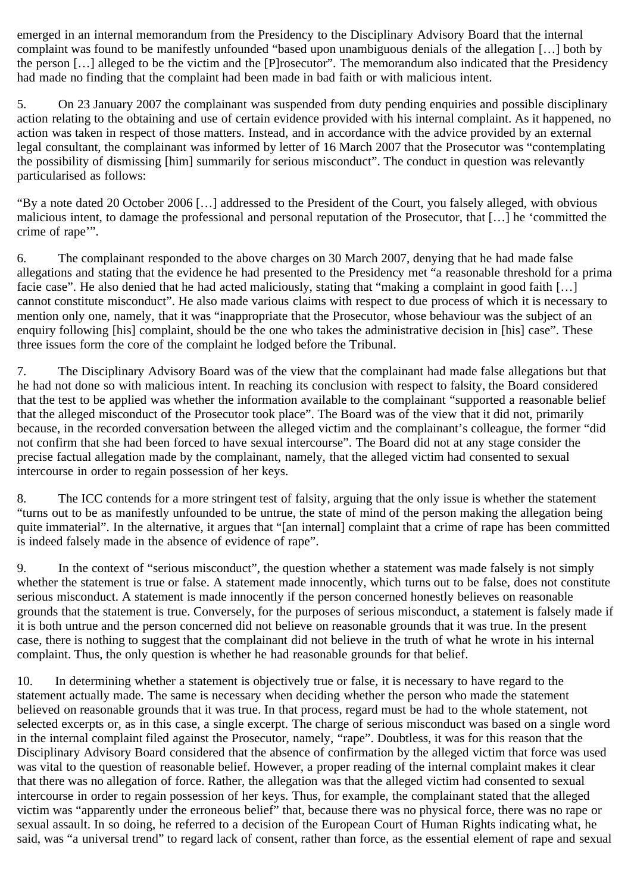emerged in an internal memorandum from the Presidency to the Disciplinary Advisory Board that the internal complaint was found to be manifestly unfounded "based upon unambiguous denials of the allegation […] both by the person […] alleged to be the victim and the [P]rosecutor". The memorandum also indicated that the Presidency had made no finding that the complaint had been made in bad faith or with malicious intent.

5. On 23 January 2007 the complainant was suspended from duty pending enquiries and possible disciplinary action relating to the obtaining and use of certain evidence provided with his internal complaint. As it happened, no action was taken in respect of those matters. Instead, and in accordance with the advice provided by an external legal consultant, the complainant was informed by letter of 16 March 2007 that the Prosecutor was "contemplating the possibility of dismissing [him] summarily for serious misconduct". The conduct in question was relevantly particularised as follows:

"By a note dated 20 October 2006 […] addressed to the President of the Court, you falsely alleged, with obvious malicious intent, to damage the professional and personal reputation of the Prosecutor, that […] he 'committed the crime of rape'".

6. The complainant responded to the above charges on 30 March 2007, denying that he had made false allegations and stating that the evidence he had presented to the Presidency met "a reasonable threshold for a prima facie case". He also denied that he had acted maliciously, stating that "making a complaint in good faith […] cannot constitute misconduct". He also made various claims with respect to due process of which it is necessary to mention only one, namely, that it was "inappropriate that the Prosecutor, whose behaviour was the subject of an enquiry following [his] complaint, should be the one who takes the administrative decision in [his] case". These three issues form the core of the complaint he lodged before the Tribunal.

7. The Disciplinary Advisory Board was of the view that the complainant had made false allegations but that he had not done so with malicious intent. In reaching its conclusion with respect to falsity, the Board considered that the test to be applied was whether the information available to the complainant "supported a reasonable belief that the alleged misconduct of the Prosecutor took place". The Board was of the view that it did not, primarily because, in the recorded conversation between the alleged victim and the complainant's colleague, the former "did not confirm that she had been forced to have sexual intercourse". The Board did not at any stage consider the precise factual allegation made by the complainant, namely, that the alleged victim had consented to sexual intercourse in order to regain possession of her keys.

8. The ICC contends for a more stringent test of falsity, arguing that the only issue is whether the statement "turns out to be as manifestly unfounded to be untrue, the state of mind of the person making the allegation being quite immaterial". In the alternative, it argues that "[an internal] complaint that a crime of rape has been committed is indeed falsely made in the absence of evidence of rape".

9. In the context of "serious misconduct", the question whether a statement was made falsely is not simply whether the statement is true or false. A statement made innocently, which turns out to be false, does not constitute serious misconduct. A statement is made innocently if the person concerned honestly believes on reasonable grounds that the statement is true. Conversely, for the purposes of serious misconduct, a statement is falsely made if it is both untrue and the person concerned did not believe on reasonable grounds that it was true. In the present case, there is nothing to suggest that the complainant did not believe in the truth of what he wrote in his internal complaint. Thus, the only question is whether he had reasonable grounds for that belief.

10. In determining whether a statement is objectively true or false, it is necessary to have regard to the statement actually made. The same is necessary when deciding whether the person who made the statement believed on reasonable grounds that it was true. In that process, regard must be had to the whole statement, not selected excerpts or, as in this case, a single excerpt. The charge of serious misconduct was based on a single word in the internal complaint filed against the Prosecutor, namely, "rape". Doubtless, it was for this reason that the Disciplinary Advisory Board considered that the absence of confirmation by the alleged victim that force was used was vital to the question of reasonable belief. However, a proper reading of the internal complaint makes it clear that there was no allegation of force. Rather, the allegation was that the alleged victim had consented to sexual intercourse in order to regain possession of her keys. Thus, for example, the complainant stated that the alleged victim was "apparently under the erroneous belief" that, because there was no physical force, there was no rape or sexual assault. In so doing, he referred to a decision of the European Court of Human Rights indicating what, he said, was "a universal trend" to regard lack of consent, rather than force, as the essential element of rape and sexual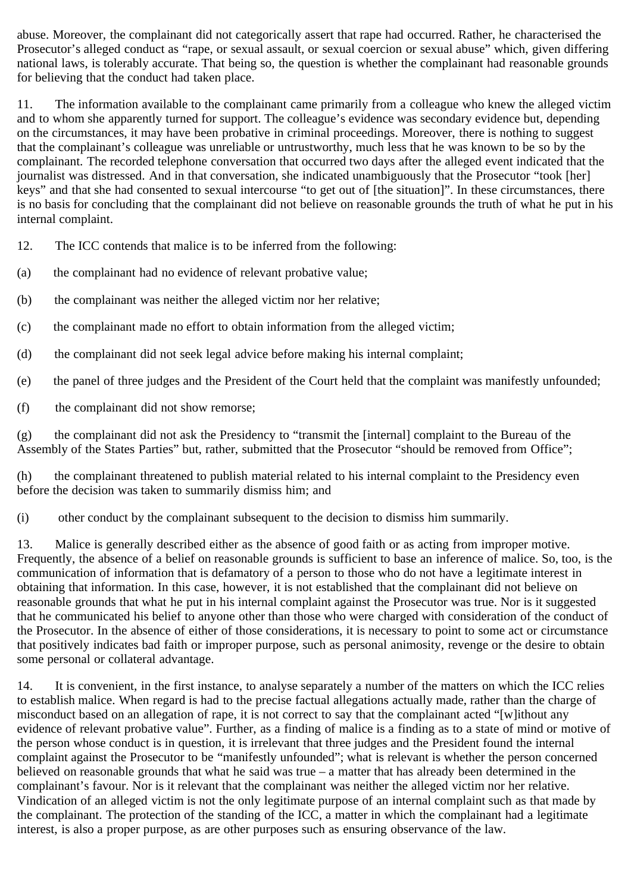abuse. Moreover, the complainant did not categorically assert that rape had occurred. Rather, he characterised the Prosecutor's alleged conduct as "rape, or sexual assault, or sexual coercion or sexual abuse" which, given differing national laws, is tolerably accurate. That being so, the question is whether the complainant had reasonable grounds for believing that the conduct had taken place.

11. The information available to the complainant came primarily from a colleague who knew the alleged victim and to whom she apparently turned for support. The colleague's evidence was secondary evidence but, depending on the circumstances, it may have been probative in criminal proceedings. Moreover, there is nothing to suggest that the complainant's colleague was unreliable or untrustworthy, much less that he was known to be so by the complainant. The recorded telephone conversation that occurred two days after the alleged event indicated that the journalist was distressed. And in that conversation, she indicated unambiguously that the Prosecutor "took [her] keys" and that she had consented to sexual intercourse "to get out of [the situation]". In these circumstances, there is no basis for concluding that the complainant did not believe on reasonable grounds the truth of what he put in his internal complaint.

12. The ICC contends that malice is to be inferred from the following:

- (a) the complainant had no evidence of relevant probative value;
- (b) the complainant was neither the alleged victim nor her relative;
- (c) the complainant made no effort to obtain information from the alleged victim;
- (d) the complainant did not seek legal advice before making his internal complaint;
- (e) the panel of three judges and the President of the Court held that the complaint was manifestly unfounded;
- (f) the complainant did not show remorse;

(g) the complainant did not ask the Presidency to "transmit the [internal] complaint to the Bureau of the Assembly of the States Parties" but, rather, submitted that the Prosecutor "should be removed from Office";

(h) the complainant threatened to publish material related to his internal complaint to the Presidency even before the decision was taken to summarily dismiss him; and

(i) other conduct by the complainant subsequent to the decision to dismiss him summarily.

13. Malice is generally described either as the absence of good faith or as acting from improper motive. Frequently, the absence of a belief on reasonable grounds is sufficient to base an inference of malice. So, too, is the communication of information that is defamatory of a person to those who do not have a legitimate interest in obtaining that information. In this case, however, it is not established that the complainant did not believe on reasonable grounds that what he put in his internal complaint against the Prosecutor was true. Nor is it suggested that he communicated his belief to anyone other than those who were charged with consideration of the conduct of the Prosecutor. In the absence of either of those considerations, it is necessary to point to some act or circumstance that positively indicates bad faith or improper purpose, such as personal animosity, revenge or the desire to obtain some personal or collateral advantage.

14. It is convenient, in the first instance, to analyse separately a number of the matters on which the ICC relies to establish malice. When regard is had to the precise factual allegations actually made, rather than the charge of misconduct based on an allegation of rape, it is not correct to say that the complainant acted "[w]ithout any evidence of relevant probative value". Further, as a finding of malice is a finding as to a state of mind or motive of the person whose conduct is in question, it is irrelevant that three judges and the President found the internal complaint against the Prosecutor to be "manifestly unfounded"; what is relevant is whether the person concerned believed on reasonable grounds that what he said was true – a matter that has already been determined in the complainant's favour. Nor is it relevant that the complainant was neither the alleged victim nor her relative. Vindication of an alleged victim is not the only legitimate purpose of an internal complaint such as that made by the complainant. The protection of the standing of the ICC, a matter in which the complainant had a legitimate interest, is also a proper purpose, as are other purposes such as ensuring observance of the law.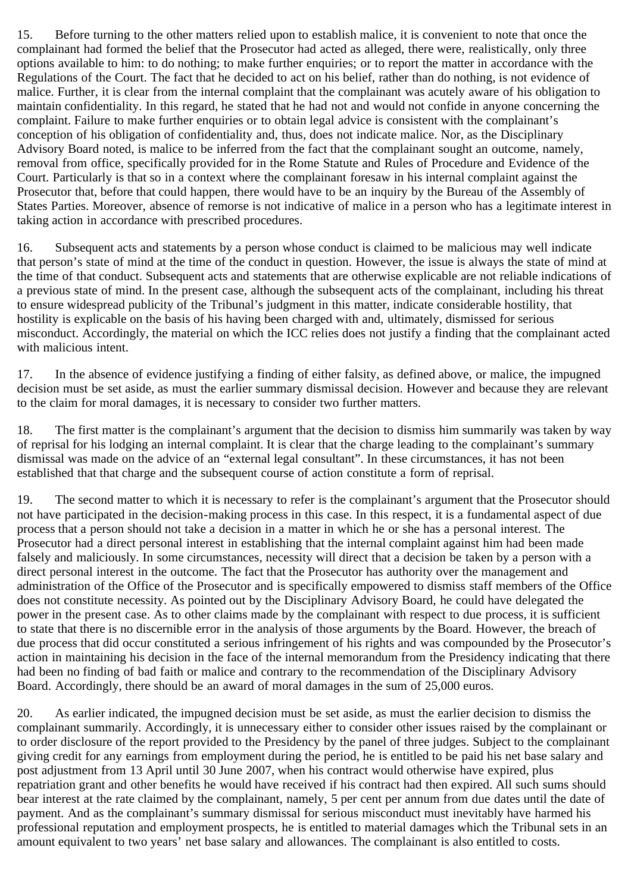15. Before turning to the other matters relied upon to establish malice, it is convenient to note that once the complainant had formed the belief that the Prosecutor had acted as alleged, there were, realistically, only three options available to him: to do nothing; to make further enquiries; or to report the matter in accordance with the Regulations of the Court. The fact that he decided to act on his belief, rather than do nothing, is not evidence of malice. Further, it is clear from the internal complaint that the complainant was acutely aware of his obligation to maintain confidentiality. In this regard, he stated that he had not and would not confide in anyone concerning the complaint. Failure to make further enquiries or to obtain legal advice is consistent with the complainant's conception of his obligation of confidentiality and, thus, does not indicate malice. Nor, as the Disciplinary Advisory Board noted, is malice to be inferred from the fact that the complainant sought an outcome, namely, removal from office, specifically provided for in the Rome Statute and Rules of Procedure and Evidence of the Court. Particularly is that so in a context where the complainant foresaw in his internal complaint against the Prosecutor that, before that could happen, there would have to be an inquiry by the Bureau of the Assembly of States Parties. Moreover, absence of remorse is not indicative of malice in a person who has a legitimate interest in taking action in accordance with prescribed procedures.

16. Subsequent acts and statements by a person whose conduct is claimed to be malicious may well indicate that person's state of mind at the time of the conduct in question. However, the issue is always the state of mind at the time of that conduct. Subsequent acts and statements that are otherwise explicable are not reliable indications of a previous state of mind. In the present case, although the subsequent acts of the complainant, including his threat to ensure widespread publicity of the Tribunal's judgment in this matter, indicate considerable hostility, that hostility is explicable on the basis of his having been charged with and, ultimately, dismissed for serious misconduct. Accordingly, the material on which the ICC relies does not justify a finding that the complainant acted with malicious intent.

17. In the absence of evidence justifying a finding of either falsity, as defined above, or malice, the impugned decision must be set aside, as must the earlier summary dismissal decision. However and because they are relevant to the claim for moral damages, it is necessary to consider two further matters.

18. The first matter is the complainant's argument that the decision to dismiss him summarily was taken by way of reprisal for his lodging an internal complaint. It is clear that the charge leading to the complainant's summary dismissal was made on the advice of an "external legal consultant". In these circumstances, it has not been established that that charge and the subsequent course of action constitute a form of reprisal.

19. The second matter to which it is necessary to refer is the complainant's argument that the Prosecutor should not have participated in the decision-making process in this case. In this respect, it is a fundamental aspect of due process that a person should not take a decision in a matter in which he or she has a personal interest. The Prosecutor had a direct personal interest in establishing that the internal complaint against him had been made falsely and maliciously. In some circumstances, necessity will direct that a decision be taken by a person with a direct personal interest in the outcome. The fact that the Prosecutor has authority over the management and administration of the Office of the Prosecutor and is specifically empowered to dismiss staff members of the Office does not constitute necessity. As pointed out by the Disciplinary Advisory Board, he could have delegated the power in the present case. As to other claims made by the complainant with respect to due process, it is sufficient to state that there is no discernible error in the analysis of those arguments by the Board. However, the breach of due process that did occur constituted a serious infringement of his rights and was compounded by the Prosecutor's action in maintaining his decision in the face of the internal memorandum from the Presidency indicating that there had been no finding of bad faith or malice and contrary to the recommendation of the Disciplinary Advisory Board. Accordingly, there should be an award of moral damages in the sum of 25,000 euros.

20. As earlier indicated, the impugned decision must be set aside, as must the earlier decision to dismiss the complainant summarily. Accordingly, it is unnecessary either to consider other issues raised by the complainant or to order disclosure of the report provided to the Presidency by the panel of three judges. Subject to the complainant giving credit for any earnings from employment during the period, he is entitled to be paid his net base salary and post adjustment from 13 April until 30 June 2007, when his contract would otherwise have expired, plus repatriation grant and other benefits he would have received if his contract had then expired. All such sums should bear interest at the rate claimed by the complainant, namely, 5 per cent per annum from due dates until the date of payment. And as the complainant's summary dismissal for serious misconduct must inevitably have harmed his professional reputation and employment prospects, he is entitled to material damages which the Tribunal sets in an amount equivalent to two years' net base salary and allowances. The complainant is also entitled to costs.